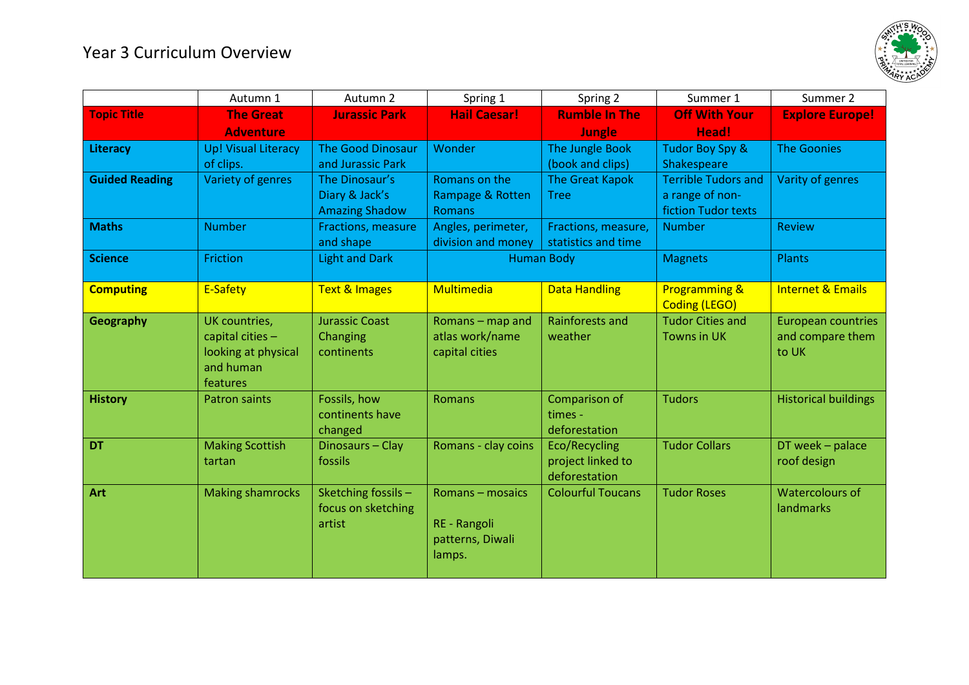

|                       | Autumn 1                                                                            | Autumn 2                                                  | Spring 1                                                       | Spring 2                                            | Summer 1                                                             | Summer 2                                               |
|-----------------------|-------------------------------------------------------------------------------------|-----------------------------------------------------------|----------------------------------------------------------------|-----------------------------------------------------|----------------------------------------------------------------------|--------------------------------------------------------|
| <b>Topic Title</b>    | <b>The Great</b><br><b>Adventure</b>                                                | <b>Jurassic Park</b>                                      | <b>Hail Caesar!</b>                                            | <b>Rumble In The</b><br><b>Jungle</b>               | <b>Off With Your</b><br>Head!                                        | <b>Explore Europe!</b>                                 |
| Literacy              | <b>Up! Visual Literacy</b><br>of clips.                                             | <b>The Good Dinosaur</b><br>and Jurassic Park             | Wonder                                                         | The Jungle Book<br>(book and clips)                 | Tudor Boy Spy &<br>Shakespeare                                       | <b>The Goonies</b>                                     |
| <b>Guided Reading</b> | Variety of genres                                                                   | The Dinosaur's<br>Diary & Jack's<br><b>Amazing Shadow</b> | Romans on the<br>Rampage & Rotten<br><b>Romans</b>             | <b>The Great Kapok</b><br><b>Tree</b>               | <b>Terrible Tudors and</b><br>a range of non-<br>fiction Tudor texts | Varity of genres                                       |
| <b>Maths</b>          | <b>Number</b>                                                                       | <b>Fractions, measure</b><br>and shape                    | Angles, perimeter,<br>division and money                       | Fractions, measure,<br>statistics and time          | <b>Number</b>                                                        | <b>Review</b>                                          |
| <b>Science</b>        | Friction                                                                            | <b>Light and Dark</b>                                     | <b>Human Body</b>                                              |                                                     | <b>Magnets</b>                                                       | Plants                                                 |
| <b>Computing</b>      | E-Safety                                                                            | <b>Text &amp; Images</b>                                  | Multimedia                                                     | <b>Data Handling</b>                                | <b>Programming &amp;</b><br><b>Coding (LEGO)</b>                     | <b>Internet &amp; Emails</b>                           |
| Geography             | UK countries,<br>capital cities $-$<br>looking at physical<br>and human<br>features | <b>Jurassic Coast</b><br>Changing<br>continents           | Romans - map and<br>atlas work/name<br>capital cities          | Rainforests and<br>weather                          | <b>Tudor Cities and</b><br><b>Towns in UK</b>                        | <b>European countries</b><br>and compare them<br>to UK |
| <b>History</b>        | <b>Patron saints</b>                                                                | Fossils, how<br>continents have<br>changed                | Romans                                                         | Comparison of<br>times -<br>deforestation           | <b>Tudors</b>                                                        | <b>Historical buildings</b>                            |
| <b>DT</b>             | <b>Making Scottish</b><br>tartan                                                    | Dinosaurs-Clay<br>fossils                                 | Romans - clay coins                                            | Eco/Recycling<br>project linked to<br>deforestation | <b>Tudor Collars</b>                                                 | DT week - palace<br>roof design                        |
| Art                   | <b>Making shamrocks</b>                                                             | Sketching fossils -<br>focus on sketching<br>artist       | Romans - mosaics<br>RE - Rangoli<br>patterns, Diwali<br>lamps. | <b>Colourful Toucans</b>                            | <b>Tudor Roses</b>                                                   | <b>Watercolours of</b><br>landmarks                    |